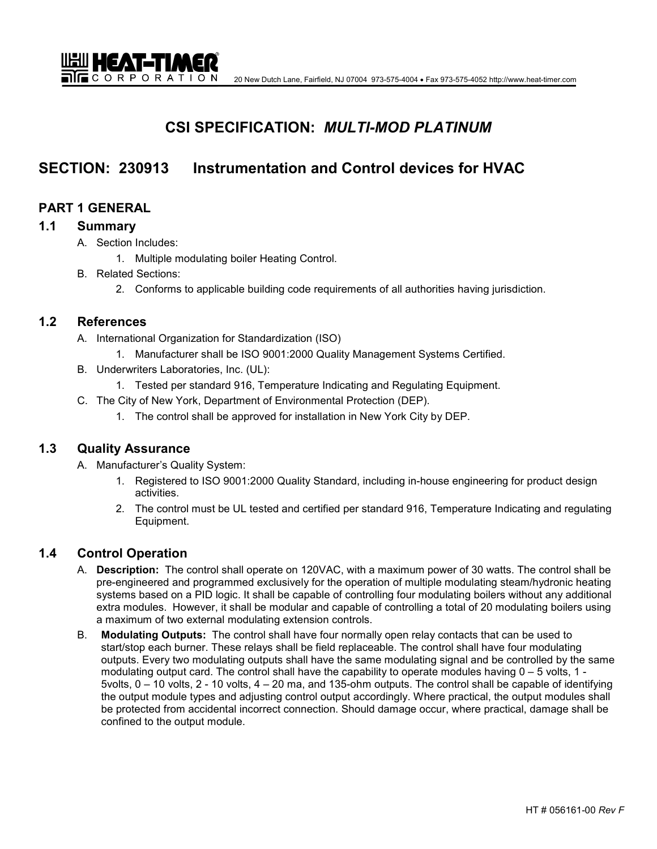# **CSI SPECIFICATION:** *MULTI-MOD PLATINUM*

## **SECTION: 230913 Instrumentation and Control devices for HVAC**

## **PART 1 GENERAL**

#### **1.1 Summary**

A. Section Includes:

<u>UHU HEAT-TIMER</u> nic ORPORATION

- 1. Multiple modulating boiler Heating Control.
- B. Related Sections:
	- 2. Conforms to applicable building code requirements of all authorities having jurisdiction.

#### **1.2 References**

- A. International Organization for Standardization (ISO)
	- 1. Manufacturer shall be ISO 9001:2000 Quality Management Systems Certified.
- B. Underwriters Laboratories, Inc. (UL):
	- 1. Tested per standard 916, Temperature Indicating and Regulating Equipment.
- C. The City of New York, Department of Environmental Protection (DEP).
	- 1. The control shall be approved for installation in New York City by DEP.

#### **1.3 Quality Assurance**

- A. Manufacturer's Quality System:
	- 1. Registered to ISO 9001:2000 Quality Standard, including in-house engineering for product design activities.
	- 2. The control must be UL tested and certified per standard 916, Temperature Indicating and regulating Equipment.

## **1.4 Control Operation**

- A. **Description:** The control shall operate on 120VAC, with a maximum power of 30 watts. The control shall be pre-engineered and programmed exclusively for the operation of multiple modulating steam/hydronic heating systems based on a PID logic. It shall be capable of controlling four modulating boilers without any additional extra modules. However, it shall be modular and capable of controlling a total of 20 modulating boilers using a maximum of two external modulating extension controls.
- B. **Modulating Outputs:** The control shall have four normally open relay contacts that can be used to start/stop each burner. These relays shall be field replaceable. The control shall have four modulating outputs. Every two modulating outputs shall have the same modulating signal and be controlled by the same modulating output card. The control shall have the capability to operate modules having  $0 - 5$  volts, 1 -5volts, 0 – 10 volts, 2 - 10 volts, 4 – 20 ma, and 135-ohm outputs. The control shall be capable of identifying the output module types and adjusting control output accordingly. Where practical, the output modules shall be protected from accidental incorrect connection. Should damage occur, where practical, damage shall be confined to the output module.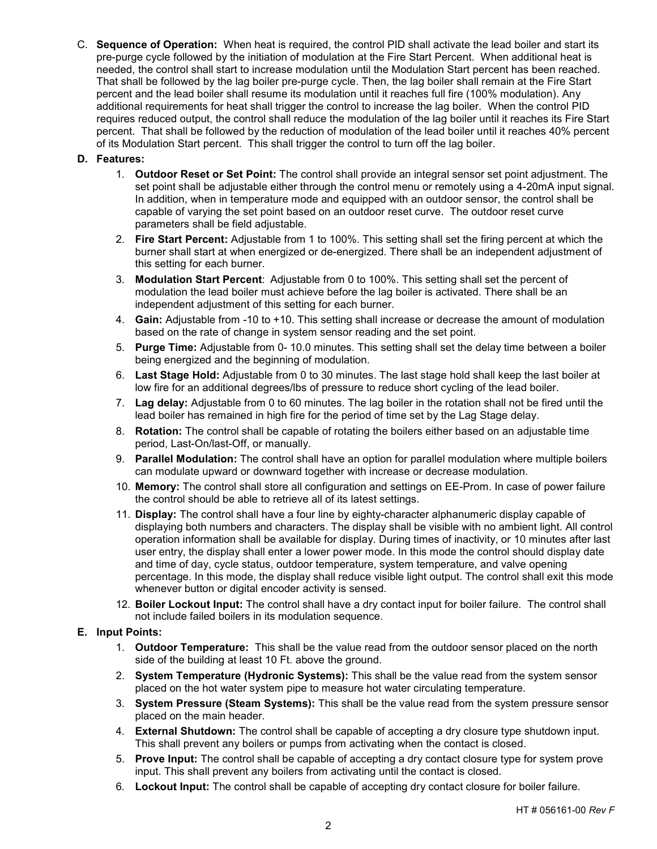C. **Sequence of Operation:** When heat is required, the control PID shall activate the lead boiler and start its pre-purge cycle followed by the initiation of modulation at the Fire Start Percent. When additional heat is needed, the control shall start to increase modulation until the Modulation Start percent has been reached. That shall be followed by the lag boiler pre-purge cycle. Then, the lag boiler shall remain at the Fire Start percent and the lead boiler shall resume its modulation until it reaches full fire (100% modulation). Any additional requirements for heat shall trigger the control to increase the lag boiler. When the control PID requires reduced output, the control shall reduce the modulation of the lag boiler until it reaches its Fire Start percent. That shall be followed by the reduction of modulation of the lead boiler until it reaches 40% percent of its Modulation Start percent. This shall trigger the control to turn off the lag boiler.

#### **D. Features:**

- 1. **Outdoor Reset or Set Point:** The control shall provide an integral sensor set point adjustment. The set point shall be adjustable either through the control menu or remotely using a 4-20mA input signal. In addition, when in temperature mode and equipped with an outdoor sensor, the control shall be capable of varying the set point based on an outdoor reset curve. The outdoor reset curve parameters shall be field adjustable.
- 2. **Fire Start Percent:** Adjustable from 1 to 100%. This setting shall set the firing percent at which the burner shall start at when energized or de-energized. There shall be an independent adjustment of this setting for each burner.
- 3. **Modulation Start Percent**: Adjustable from 0 to 100%. This setting shall set the percent of modulation the lead boiler must achieve before the lag boiler is activated. There shall be an independent adjustment of this setting for each burner.
- 4. **Gain:** Adjustable from -10 to +10. This setting shall increase or decrease the amount of modulation based on the rate of change in system sensor reading and the set point.
- 5. **Purge Time:** Adjustable from 0- 10.0 minutes. This setting shall set the delay time between a boiler being energized and the beginning of modulation.
- 6. **Last Stage Hold:** Adjustable from 0 to 30 minutes. The last stage hold shall keep the last boiler at low fire for an additional degrees/lbs of pressure to reduce short cycling of the lead boiler.
- 7. **Lag delay:** Adjustable from 0 to 60 minutes. The lag boiler in the rotation shall not be fired until the lead boiler has remained in high fire for the period of time set by the Lag Stage delay.
- 8. **Rotation:** The control shall be capable of rotating the boilers either based on an adjustable time period, Last-On/last-Off, or manually.
- 9. **Parallel Modulation:** The control shall have an option for parallel modulation where multiple boilers can modulate upward or downward together with increase or decrease modulation.
- 10. **Memory:** The control shall store all configuration and settings on EE-Prom. In case of power failure the control should be able to retrieve all of its latest settings.
- 11. **Display:** The control shall have a four line by eighty-character alphanumeric display capable of displaying both numbers and characters. The display shall be visible with no ambient light. All control operation information shall be available for display. During times of inactivity, or 10 minutes after last user entry, the display shall enter a lower power mode. In this mode the control should display date and time of day, cycle status, outdoor temperature, system temperature, and valve opening percentage. In this mode, the display shall reduce visible light output. The control shall exit this mode whenever button or digital encoder activity is sensed.
- 12. **Boiler Lockout Input:** The control shall have a dry contact input for boiler failure. The control shall not include failed boilers in its modulation sequence.

#### **E. Input Points:**

- 1. **Outdoor Temperature:** This shall be the value read from the outdoor sensor placed on the north side of the building at least 10 Ft. above the ground.
- 2. **System Temperature (Hydronic Systems):** This shall be the value read from the system sensor placed on the hot water system pipe to measure hot water circulating temperature.
- 3. **System Pressure (Steam Systems):** This shall be the value read from the system pressure sensor placed on the main header.
- 4. **External Shutdown:** The control shall be capable of accepting a dry closure type shutdown input. This shall prevent any boilers or pumps from activating when the contact is closed.
- 5. **Prove Input:** The control shall be capable of accepting a dry contact closure type for system prove input. This shall prevent any boilers from activating until the contact is closed.
- 6. **Lockout Input:** The control shall be capable of accepting dry contact closure for boiler failure.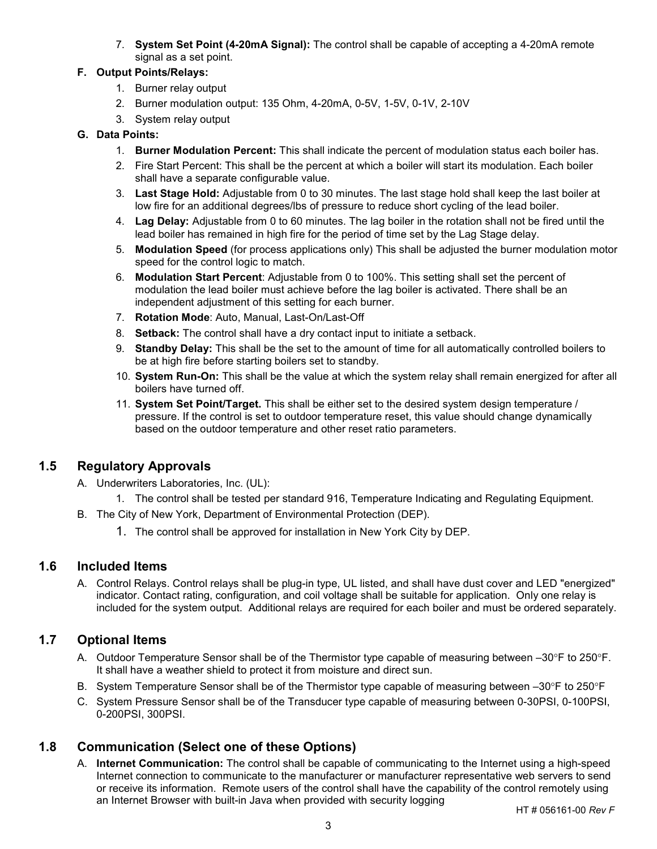7. **System Set Point (4-20mA Signal):** The control shall be capable of accepting a 4-20mA remote signal as a set point.

#### **F. Output Points/Relays:**

- 1. Burner relay output
- 2. Burner modulation output: 135 Ohm, 4-20mA, 0-5V, 1-5V, 0-1V, 2-10V
- 3. System relay output

#### **G. Data Points:**

- 1. **Burner Modulation Percent:** This shall indicate the percent of modulation status each boiler has.
- 2. Fire Start Percent: This shall be the percent at which a boiler will start its modulation. Each boiler shall have a separate configurable value.
- 3. **Last Stage Hold:** Adjustable from 0 to 30 minutes. The last stage hold shall keep the last boiler at low fire for an additional degrees/lbs of pressure to reduce short cycling of the lead boiler.
- 4. **Lag Delay:** Adjustable from 0 to 60 minutes. The lag boiler in the rotation shall not be fired until the lead boiler has remained in high fire for the period of time set by the Lag Stage delay.
- 5. **Modulation Speed** (for process applications only) This shall be adjusted the burner modulation motor speed for the control logic to match.
- 6. **Modulation Start Percent**: Adjustable from 0 to 100%. This setting shall set the percent of modulation the lead boiler must achieve before the lag boiler is activated. There shall be an independent adjustment of this setting for each burner.
- 7. **Rotation Mode**: Auto, Manual, Last-On/Last-Off
- 8. **Setback:** The control shall have a dry contact input to initiate a setback.
- 9. **Standby Delay:** This shall be the set to the amount of time for all automatically controlled boilers to be at high fire before starting boilers set to standby.
- 10. **System Run-On:** This shall be the value at which the system relay shall remain energized for after all boilers have turned off.
- 11. **System Set Point/Target.** This shall be either set to the desired system design temperature / pressure. If the control is set to outdoor temperature reset, this value should change dynamically based on the outdoor temperature and other reset ratio parameters.

## **1.5 Regulatory Approvals**

- A. Underwriters Laboratories, Inc. (UL):
	- 1. The control shall be tested per standard 916, Temperature Indicating and Regulating Equipment.
- B. The City of New York, Department of Environmental Protection (DEP).
	- 1. The control shall be approved for installation in New York City by DEP.

## **1.6 Included Items**

A. Control Relays. Control relays shall be plug-in type, UL listed, and shall have dust cover and LED "energized" indicator. Contact rating, configuration, and coil voltage shall be suitable for application. Only one relay is included for the system output. Additional relays are required for each boiler and must be ordered separately.

## **1.7 Optional Items**

- A. Outdoor Temperature Sensor shall be of the Thermistor type capable of measuring between –30°F to 250°F. It shall have a weather shield to protect it from moisture and direct sun.
- B. System Temperature Sensor shall be of the Thermistor type capable of measuring between –30°F to 250°F
- C. System Pressure Sensor shall be of the Transducer type capable of measuring between 0-30PSI, 0-100PSI, 0-200PSI, 300PSI.

## **1.8 Communication (Select one of these Options)**

A. **Internet Communication:** The control shall be capable of communicating to the Internet using a high-speed Internet connection to communicate to the manufacturer or manufacturer representative web servers to send or receive its information. Remote users of the control shall have the capability of the control remotely using an Internet Browser with built-in Java when provided with security logging